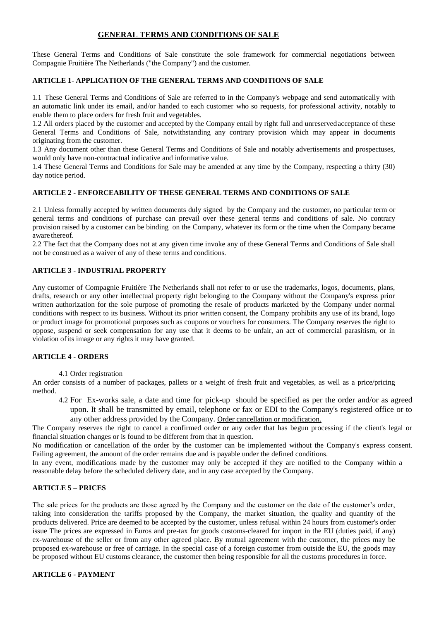# **GENERAL TERMS AND CONDITIONS OF SALE**

These General Terms and Conditions of Sale constitute the sole framework for commercial negotiations between Compagnie Fruitière The Netherlands ("the Company") and the customer.

### **ARTICLE 1- APPLICATION OF THE GENERAL TERMS AND CONDITIONS OF SALE**

1.1 These General Terms and Conditions of Sale are referred to in the Company's webpage and send automatically with an automatic link under its email, and/or handed to each customer who so requests, for professional activity, notably to enable them to place orders for fresh fruit and vegetables.

1.2 All orders placed by the customer and accepted by the Company entail by right full and unreservedacceptance of these General Terms and Conditions of Sale, notwithstanding any contrary provision which may appear in documents originating from the customer.

1.3 Any document other than these General Terms and Conditions of Sale and notably advertisements and prospectuses, would only have non-contractual indicative and informative value.

1.4 These General Terms and Conditions for Sale may be amended at any time by the Company, respecting a thirty (30) day notice period.

## **ARTICLE 2 - ENFORCEABILITY OF THESE GENERAL TERMS AND CONDITIONS OF SALE**

2.1 Unless formally accepted by written documents duly signed by the Company and the customer, no particular term or general terms and conditions of purchase can prevail over these general terms and conditions of sale. No contrary provision raised by a customer can be binding on the Company, whatever its form or the time when the Company became aware thereof.

2.2 The fact that the Company does not at any given time invoke any of these General Terms and Conditions of Sale shall not be construed as a waiver of any of these terms and conditions.

# **ARTICLE 3 - INDUSTRIAL PROPERTY**

Any customer of Compagnie Fruitière The Netherlands shall not refer to or use the trademarks, logos, documents, plans, drafts, research or any other intellectual property right belonging to the Company without the Company's express prior written authorization for the sole purpose of promoting the resale of products marketed by the Company under normal conditions with respect to its business. Without its prior written consent, the Company prohibits any use of its brand, logo or product image for promotional purposes such as coupons or vouchers for consumers. The Company reserves the right to oppose, suspend or seek compensation for any use that it deems to be unfair, an act of commercial parasitism, or in violation ofits image or any rights it may have granted.

#### **ARTICLE 4 - ORDERS**

4.1 Order registration

An order consists of a number of packages, pallets or a weight of fresh fruit and vegetables, as well as a price/pricing method.

4.2 For Ex-works sale, a date and time for pick-up should be specified as per the order and/or as agreed upon. It shall be transmitted by email, telephone or fax or EDI to the Company's registered office or to any other address provided by the Company. Order cancellation or modification.

The Company reserves the right to cancel a confirmed order or any order that has begun processing if the client's legal or financial situation changes or is found to be different from that in question.

No modification or cancellation of the order by the customer can be implemented without the Company's express consent. Failing agreement, the amount of the order remains due and is payable under the defined conditions.

In any event, modifications made by the customer may only be accepted if they are notified to the Company within a reasonable delay before the scheduled delivery date, and in any case accepted by the Company.

#### **ARTICLE 5 – PRICES**

The sale prices for the products are those agreed by the Company and the customer on the date of the customer's order, taking into consideration the tariffs proposed by the Company, the market situation, the quality and quantity of the products delivered. Price are deemed to be accepted by the customer, unless refusal within 24 hours from customer's order issue The prices are expressed in Euros and pre-tax for goods customs-cleared for import in the EU (duties paid, if any) ex-warehouse of the seller or from any other agreed place. By mutual agreement with the customer, the prices may be proposed ex-warehouse or free of carriage. In the special case of a foreign customer from outside the EU, the goods may be proposed without EU customs clearance, the customer then being responsible for all the customs procedures in force.

#### **ARTICLE 6 - PAYMENT**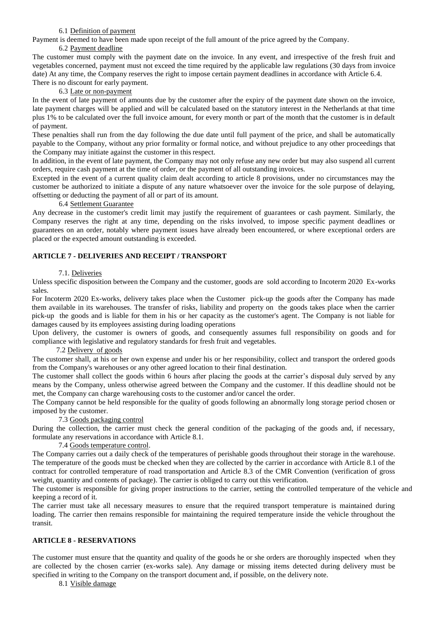### 6.1 Definition of payment

Payment is deemed to have been made upon receipt of the full amount of the price agreed by the Company.

#### 6.2 Payment deadline

The customer must comply with the payment date on the invoice. In any event, and irrespective of the fresh fruit and vegetables concerned, payment must not exceed the time required by the applicable law regulations (30 days from invoice date) At any time, the Company reserves the right to impose certain payment deadlines in accordance with Article 6.4. There is no discount for early payment.

# 6.3 Late or non-payment

In the event of late payment of amounts due by the customer after the expiry of the payment date shown on the invoice, late payment charges will be applied and will be calculated based on the statutory interest in the Netherlands at that time plus 1% to be calculated over the full invoice amount, for every month or part of the month that the customer is in default of payment.

These penalties shall run from the day following the due date until full payment of the price, and shall be automatically payable to the Company, without any prior formality or formal notice, and without prejudice to any other proceedings that the Company may initiate against the customer in this respect.

In addition, in the event of late payment, the Company may not only refuse any new order but may also suspend all current orders, require cash payment at the time of order, or the payment of all outstanding invoices.

Excepted in the event of a current quality claim dealt according to article 8 provisions, under no circumstances may the customer be authorized to initiate a dispute of any nature whatsoever over the invoice for the sole purpose of delaying, offsetting or deducting the payment of all or part of its amount.

#### 6.4 Settlement Guarantee

Any decrease in the customer's credit limit may justify the requirement of guarantees or cash payment. Similarly, the Company reserves the right at any time, depending on the risks involved, to impose specific payment deadlines or guarantees on an order, notably where payment issues have already been encountered, or where exceptional orders are placed or the expected amount outstanding is exceeded.

# **ARTICLE 7 - DELIVERIES AND RECEIPT / TRANSPORT**

# 7.1. Deliveries

Unless specific disposition between the Company and the customer, goods are sold according to Incoterm 2020 Ex-works sales.

For Incoterm 2020 Ex-works, delivery takes place when the Customer pick-up the goods after the Company has made them available in its warehouses. The transfer of risks, liability and property on the goods takes place when the carrier pick-up the goods and is liable for them in his or her capacity as the customer's agent. The Company is not liable for damages caused by its employees assisting during loading operations

Upon delivery, the customer is owners of goods, and consequently assumes full responsibility on goods and for compliance with legislative and regulatory standards for fresh fruit and vegetables.

### 7.2 Delivery of goods

The customer shall, at his or her own expense and under his or her responsibility, collect and transport the ordered goods from the Company's warehouses or any other agreed location to their final destination.

The customer shall collect the goods within 6 hours after placing the goods at the carrier's disposal duly served by any means by the Company, unless otherwise agreed between the Company and the customer. If this deadline should not be met, the Company can charge warehousing costs to the customer and/or cancel the order.

The Company cannot be held responsible for the quality of goods following an abnormally long storage period chosen or imposed by the customer.

# 7.3 Goods packaging control

During the collection, the carrier must check the general condition of the packaging of the goods and, if necessary, formulate any reservations in accordance with Article 8.1.

# 7.4 Goods temperature control.

The Company carries out a daily check of the temperatures of perishable goods throughout their storage in the warehouse. The temperature of the goods must be checked when they are collected by the carrier in accordance with Article 8.1 of the contract for controlled temperature of road transportation and Article 8.3 of the CMR Convention (verification of gross weight, quantity and contents of package). The carrier is obliged to carry out this verification.

The customer is responsible for giving proper instructions to the carrier, setting the controlled temperature of the vehicle and keeping a record of it.

The carrier must take all necessary measures to ensure that the required transport temperature is maintained during loading. The carrier then remains responsible for maintaining the required temperature inside the vehicle throughout the transit.

# **ARTICLE 8 - RESERVATIONS**

The customer must ensure that the quantity and quality of the goods he or she orders are thoroughly inspected when they are collected by the chosen carrier (ex-works sale). Any damage or missing items detected during delivery must be specified in writing to the Company on the transport document and, if possible, on the delivery note.

8.1 Visible damage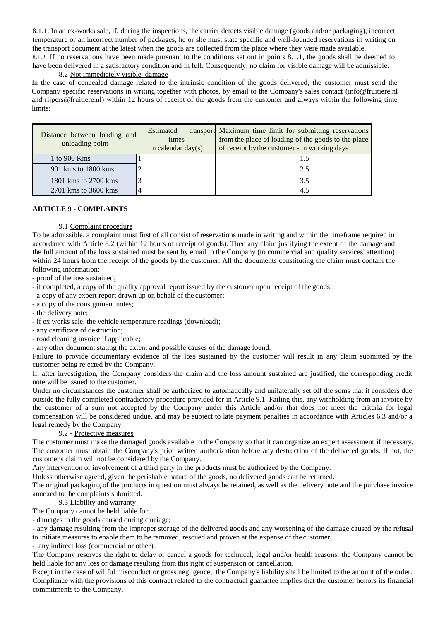8.1.1. In an ex-works sale, if, during the inspections, the carrier detects visible damage (goods and/or packaging), incorrect temperature or an incorrect number of packages, he or she must state specific and well-founded reservations in writing on the transport document at the latest when the goods are collected from the place where they were made available.

8.1.2 If no reservations have been made pursuant to the conditions set out in points 8.1.1, the goods shall be deemed to have been delivered in a satisfactory condition and in full. Consequently, no claim for visible damage will be admissible. 8.2 Not immediately visible damage

In the case of concealed damage related to the intrinsic condition of the goods delivered, the customer must send the Company specific reservations in writing together with photos, by email to the Company's sales contact (info@fruitiere.nl and rijpers@fruitiere.nl) within 12 hours of receipt of the goods from the customer and always within the following time limits:

| Distance between loading and<br>unloading point | Estimated<br>times<br>in calendar day $(s)$ | transport Maximum time limit for submitting reservations<br>from the place of loading of the goods to the place<br>of receipt by the customer - in working days |
|-------------------------------------------------|---------------------------------------------|-----------------------------------------------------------------------------------------------------------------------------------------------------------------|
| 1 to 900 Kms                                    |                                             |                                                                                                                                                                 |
| 901 kms to 1800 kms                             |                                             | 2.5                                                                                                                                                             |
| 1801 kms to 2700 kms                            |                                             | 3.5                                                                                                                                                             |
| 2701 kms to 3600 kms                            |                                             | 4.5                                                                                                                                                             |

## **ARTICLE 9 - COMPLAINTS**

#### 9.1 Complaint procedure

To be admissible, a complaint must first of all consist of reservations made in writing and within the timeframe required in accordance with Article 8.2 (within 12 hours of receipt of goods). Then any claim justifying the extent of the damage and the full amount of the loss sustained must be sent by email to the Company (to commercial and quality services' attention) within 24 hours from the receipt of the goods by the customer. All the documents constituting the claim must contain the following information:

- proof of the loss sustained;

- if completed, a copy of the quality approval report issued by the customer upon receipt of the goods;

- a copy of any expert report drawn up on behalf of the customer;

- a copy of the consignment notes;

- the delivery note;

- if ex works sale, the vehicle temperature readings (download);

- any certificate of destruction;

- road cleaning invoice if applicable;

- any other document stating the extent and possible causes of the damage found.

Failure to provide documentary evidence of the loss sustained by the customer will result in any claim submitted by the customer being rejected by the Company.

If, after investigation, the Company considers the claim and the loss amount sustained are justified, the corresponding credit note will be issued to the customer.

Under no circumstances the customer shall be authorized to automatically and unilaterally set off the sums that it considers due outside the fully completed contradictory procedure provided for in Article 9.1. Failing this, any withholding from an invoice by the customer of a sum not accepted by the Company under this Article and/or that does not meet the criteria for legal compensation will be considered undue, and may be subject to late payment penalties in accordance with Articles 6.3 and/or a legal remedy by the Company.

9.2 - Protective measures

The customer must make the damaged goods available to the Company so that it can organize an expert assessment if necessary. The customer must obtain the Company's prior written authorization before any destruction of the delivered goods. If not, the customer's claim will not be considered by the Company.

Any intervention or involvement of a third party in the products must be authorized by the Company.

Unless otherwise agreed, given the perishable nature of the goods, no delivered goods can be returned.

The original packaging of the products in question must always be retained, as well as the delivery note and the purchase invoice annexed to the complaints submitted.

# 9.3 Liability and warranty

The Company cannot be held liable for:

- damages to the goods caused during carriage;

- any damage resulting from the improper storage of the delivered goods and any worsening of the damage caused by the refusal to initiate measures to enable them to be removed, rescued and proven at the expense of the customer;

any indirect loss (commercial or other).

The Company reserves the right to delay or cancel a goods for technical, legal and/or health reasons; the Company cannot be held liable for any loss or damage resulting from this right of suspension or cancellation.

Except in the case of willful misconduct or gross negligence, the Company's liability shall be limited to the amount of the order. Compliance with the provisions of this contract related to the contractual guarantee implies that the customer honors its financial commitments to the Company.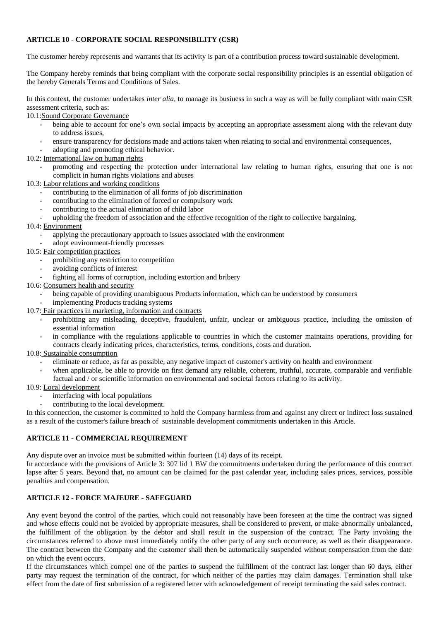## **ARTICLE 10 - CORPORATE SOCIAL RESPONSIBILITY (CSR)**

The customer hereby represents and warrants that its activity is part of a contribution process toward sustainable development.

The Company hereby reminds that being compliant with the corporate social responsibility principles is an essential obligation of the hereby Generals Terms and Conditions of Sales.

In this context, the customer undertakes *inter alia*, to manage its business in such a way as will be fully compliant with main CSR assessment criteria, such as:

10.1:Sound Corporate Governance

- being able to account for one's own social impacts by accepting an appropriate assessment along with the relevant duty to address issues,
- ensure transparency for decisions made and actions taken when relating to social and environmental consequences,
- adopting and promoting ethical behavior.
- 10.2: International law on human rights
	- promoting and respecting the protection under international law relating to human rights, ensuring that one is not complicit in human rights violations and abuses
- 10.3: Labor relations and working conditions
	- contributing to the elimination of all forms of job discrimination
	- contributing to the elimination of forced or compulsory work
	- contributing to the actual elimination of child labor
	- upholding the freedom of association and the effective recognition of the right to collective bargaining.

#### 10.4: Environment

- applying the precautionary approach to issues associated with the environment
- adopt environment-friendly processes
- 10.5: Fair competition practices
	- prohibiting any restriction to competition
	- avoiding conflicts of interest
	- fighting all forms of corruption, including extortion and bribery

#### 10.6: Consumers health and security

- being capable of providing unambiguous Products information, which can be understood by consumers
- implementing Products tracking systems

10.7: Fair practices in marketing, information and contracts

- prohibiting any misleading, deceptive, fraudulent, unfair, unclear or ambiguous practice, including the omission of essential information
- in compliance with the regulations applicable to countries in which the customer maintains operations, providing for contracts clearly indicating prices, characteristics, terms, conditions, costs and duration.

#### 10.8: Sustainable consumption

- eliminate or reduce, as far as possible, any negative impact of customer's activity on health and environment
- when applicable, be able to provide on first demand any reliable, coherent, truthful, accurate, comparable and verifiable factual and / or scientific information on environmental and societal factors relating to its activity.

#### 10.9: Local development

- interfacing with local populations
- contributing to the local development.

In this connection, the customer is committed to hold the Company harmless from and against any direct or indirect loss sustained as a result of the customer's failure breach of sustainable development commitments undertaken in this Article.

#### **ARTICLE 11 - COMMERCIAL REQUIREMENT**

Any dispute over an invoice must be submitted within fourteen (14) days of its receipt.

In accordance with the provisions of Article 3: 307 lid 1 BW the commitments undertaken during the performance of this contract lapse after 5 years. Beyond that, no amount can be claimed for the past calendar year, including sales prices, services, possible penalties and compensation.

# **ARTICLE 12 - FORCE MAJEURE - SAFEGUARD**

Any event beyond the control of the parties, which could not reasonably have been foreseen at the time the contract was signed and whose effects could not be avoided by appropriate measures, shall be considered to prevent, or make abnormally unbalanced, the fulfillment of the obligation by the debtor and shall result in the suspension of the contract. The Party invoking the circumstances referred to above must immediately notify the other party of any such occurrence, as well as their disappearance. The contract between the Company and the customer shall then be automatically suspended without compensation from the date on which the event occurs.

If the circumstances which compel one of the parties to suspend the fulfillment of the contract last longer than 60 days, either party may request the termination of the contract, for which neither of the parties may claim damages. Termination shall take effect from the date of first submission of a registered letter with acknowledgement of receipt terminating the said sales contract.